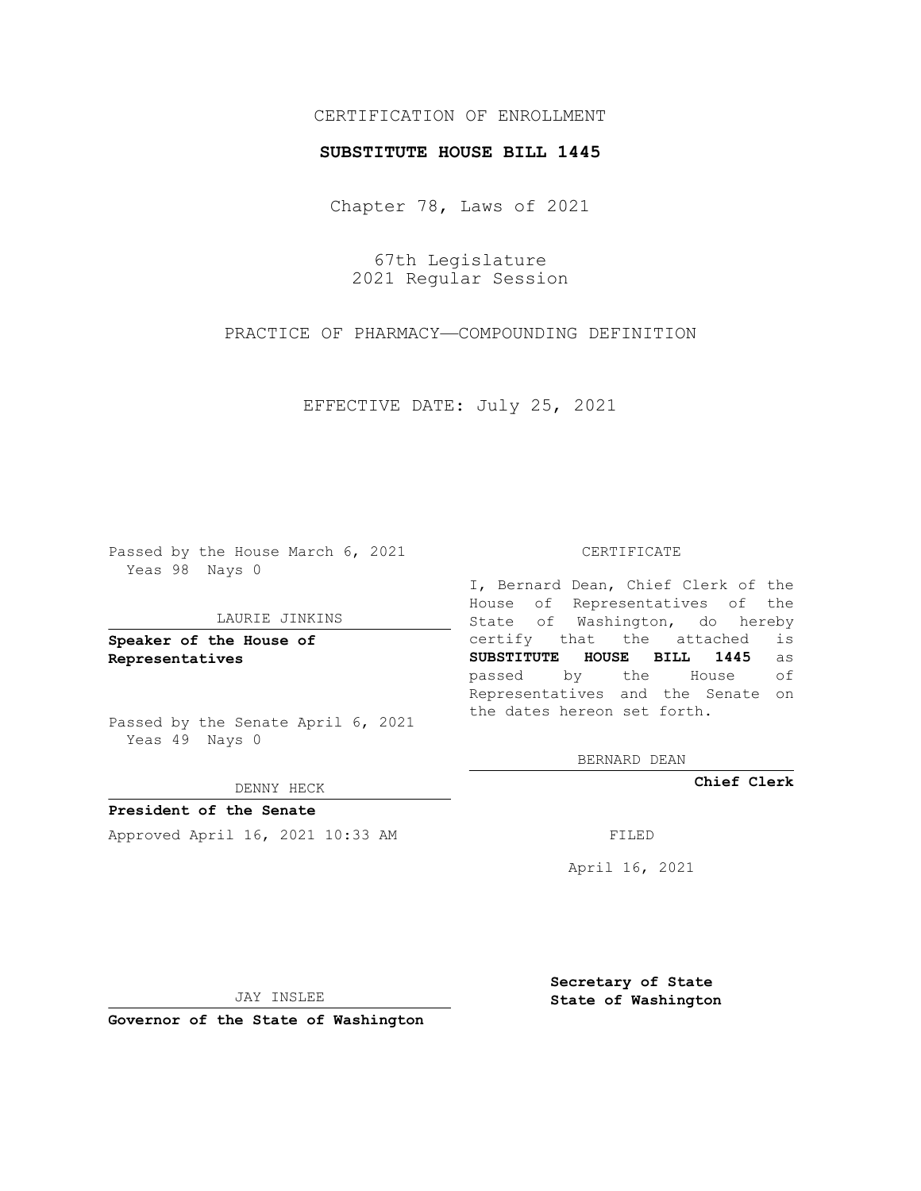# CERTIFICATION OF ENROLLMENT

## **SUBSTITUTE HOUSE BILL 1445**

Chapter 78, Laws of 2021

67th Legislature 2021 Regular Session

PRACTICE OF PHARMACY—COMPOUNDING DEFINITION

EFFECTIVE DATE: July 25, 2021

Passed by the House March 6, 2021 Yeas 98 Nays 0

### LAURIE JINKINS

**Speaker of the House of Representatives**

Passed by the Senate April 6, 2021 Yeas 49 Nays 0

## DENNY HECK

**President of the Senate** Approved April 16, 2021 10:33 AM FILED

#### CERTIFICATE

I, Bernard Dean, Chief Clerk of the House of Representatives of the State of Washington, do hereby certify that the attached is **SUBSTITUTE HOUSE BILL 1445** as passed by the House of Representatives and the Senate on the dates hereon set forth.

BERNARD DEAN

**Chief Clerk**

April 16, 2021

JAY INSLEE

**Governor of the State of Washington**

**Secretary of State State of Washington**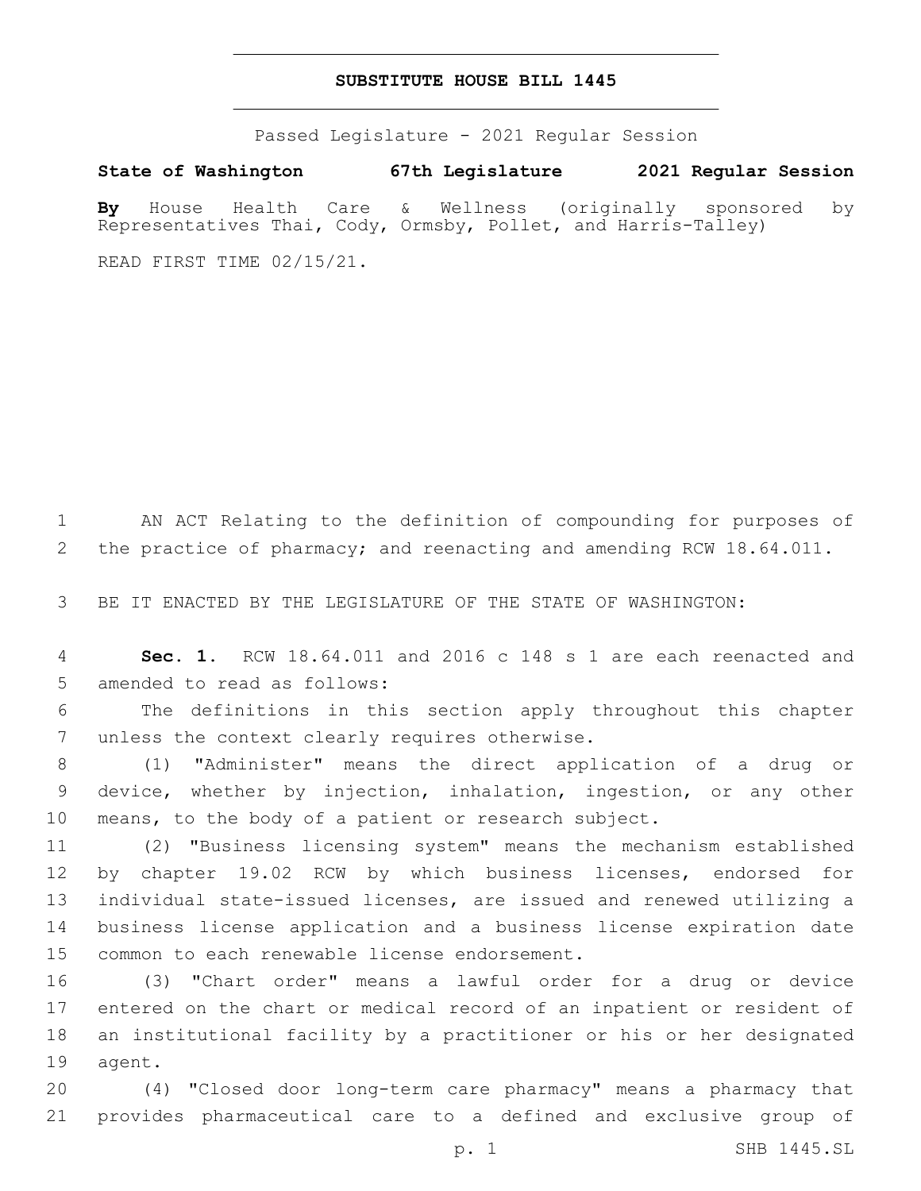# **SUBSTITUTE HOUSE BILL 1445**

Passed Legislature - 2021 Regular Session

**State of Washington 67th Legislature 2021 Regular Session**

**By** House Health Care & Wellness (originally sponsored by Representatives Thai, Cody, Ormsby, Pollet, and Harris-Talley)

READ FIRST TIME 02/15/21.

1 AN ACT Relating to the definition of compounding for purposes of 2 the practice of pharmacy; and reenacting and amending RCW 18.64.011.

3 BE IT ENACTED BY THE LEGISLATURE OF THE STATE OF WASHINGTON:

4 **Sec. 1.** RCW 18.64.011 and 2016 c 148 s 1 are each reenacted and 5 amended to read as follows:

6 The definitions in this section apply throughout this chapter 7 unless the context clearly requires otherwise.

8 (1) "Administer" means the direct application of a drug or 9 device, whether by injection, inhalation, ingestion, or any other 10 means, to the body of a patient or research subject.

 (2) "Business licensing system" means the mechanism established by chapter 19.02 RCW by which business licenses, endorsed for individual state-issued licenses, are issued and renewed utilizing a business license application and a business license expiration date 15 common to each renewable license endorsement.

 (3) "Chart order" means a lawful order for a drug or device entered on the chart or medical record of an inpatient or resident of an institutional facility by a practitioner or his or her designated 19 agent.

20 (4) "Closed door long-term care pharmacy" means a pharmacy that 21 provides pharmaceutical care to a defined and exclusive group of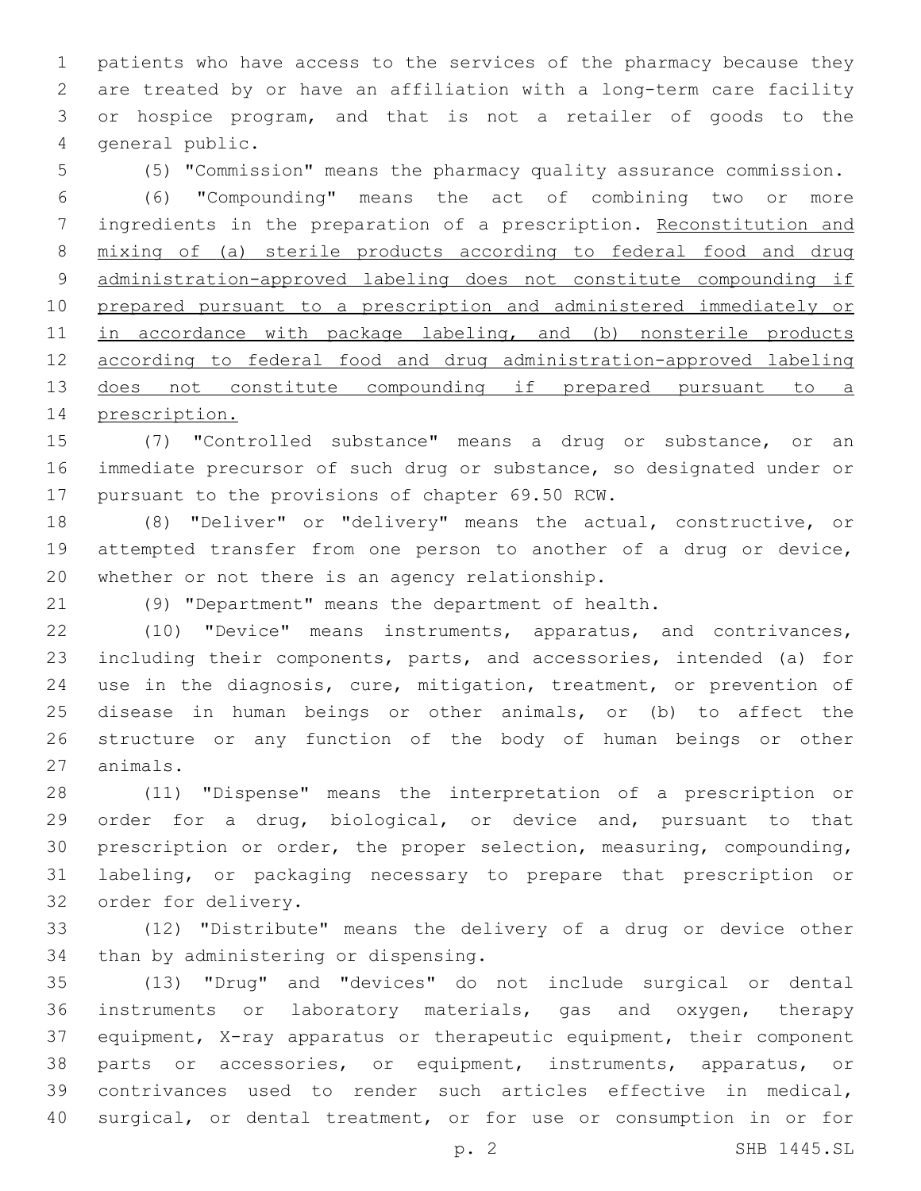patients who have access to the services of the pharmacy because they are treated by or have an affiliation with a long-term care facility or hospice program, and that is not a retailer of goods to the 4 general public.

(5) "Commission" means the pharmacy quality assurance commission.

 (6) "Compounding" means the act of combining two or more ingredients in the preparation of a prescription. Reconstitution and mixing of (a) sterile products according to federal food and drug administration-approved labeling does not constitute compounding if prepared pursuant to a prescription and administered immediately or 11 in accordance with package labeling, and (b) nonsterile products according to federal food and drug administration-approved labeling 13 does not constitute compounding if prepared pursuant to a prescription.

 (7) "Controlled substance" means a drug or substance, or an immediate precursor of such drug or substance, so designated under or 17 pursuant to the provisions of chapter 69.50 RCW.

 (8) "Deliver" or "delivery" means the actual, constructive, or attempted transfer from one person to another of a drug or device, 20 whether or not there is an agency relationship.

(9) "Department" means the department of health.

 (10) "Device" means instruments, apparatus, and contrivances, including their components, parts, and accessories, intended (a) for use in the diagnosis, cure, mitigation, treatment, or prevention of disease in human beings or other animals, or (b) to affect the structure or any function of the body of human beings or other 27 animals.

 (11) "Dispense" means the interpretation of a prescription or order for a drug, biological, or device and, pursuant to that prescription or order, the proper selection, measuring, compounding, labeling, or packaging necessary to prepare that prescription or 32 order for delivery.

 (12) "Distribute" means the delivery of a drug or device other 34 than by administering or dispensing.

 (13) "Drug" and "devices" do not include surgical or dental instruments or laboratory materials, gas and oxygen, therapy equipment, X-ray apparatus or therapeutic equipment, their component parts or accessories, or equipment, instruments, apparatus, or contrivances used to render such articles effective in medical, surgical, or dental treatment, or for use or consumption in or for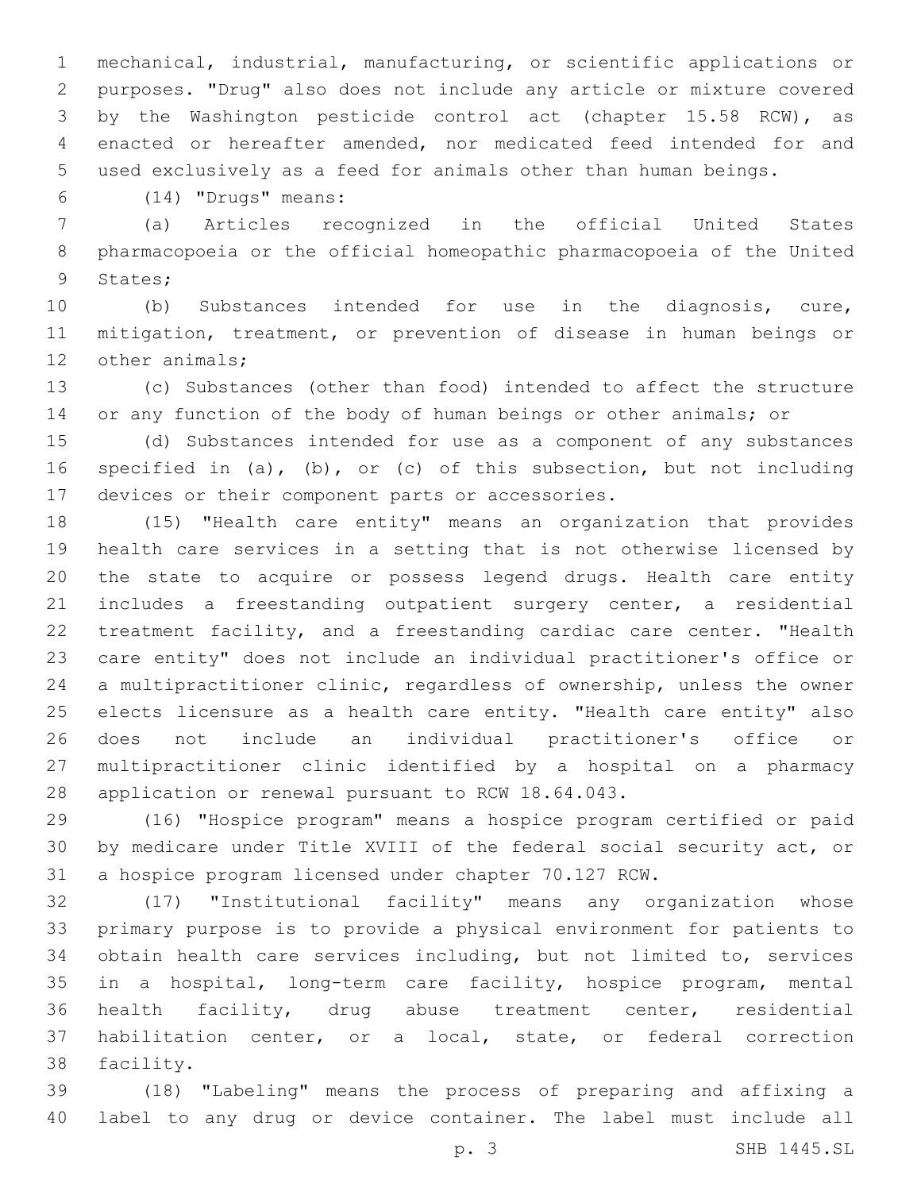mechanical, industrial, manufacturing, or scientific applications or purposes. "Drug" also does not include any article or mixture covered by the Washington pesticide control act (chapter 15.58 RCW), as enacted or hereafter amended, nor medicated feed intended for and used exclusively as a feed for animals other than human beings.

(14) "Drugs" means:6

 (a) Articles recognized in the official United States pharmacopoeia or the official homeopathic pharmacopoeia of the United 9 States;

 (b) Substances intended for use in the diagnosis, cure, mitigation, treatment, or prevention of disease in human beings or 12 other animals;

 (c) Substances (other than food) intended to affect the structure 14 or any function of the body of human beings or other animals; or

 (d) Substances intended for use as a component of any substances specified in (a), (b), or (c) of this subsection, but not including 17 devices or their component parts or accessories.

 (15) "Health care entity" means an organization that provides health care services in a setting that is not otherwise licensed by the state to acquire or possess legend drugs. Health care entity includes a freestanding outpatient surgery center, a residential treatment facility, and a freestanding cardiac care center. "Health care entity" does not include an individual practitioner's office or a multipractitioner clinic, regardless of ownership, unless the owner elects licensure as a health care entity. "Health care entity" also does not include an individual practitioner's office or multipractitioner clinic identified by a hospital on a pharmacy 28 application or renewal pursuant to RCW 18.64.043.

 (16) "Hospice program" means a hospice program certified or paid by medicare under Title XVIII of the federal social security act, or a hospice program licensed under chapter 70.127 RCW.

 (17) "Institutional facility" means any organization whose primary purpose is to provide a physical environment for patients to obtain health care services including, but not limited to, services in a hospital, long-term care facility, hospice program, mental health facility, drug abuse treatment center, residential habilitation center, or a local, state, or federal correction 38 facility.

 (18) "Labeling" means the process of preparing and affixing a label to any drug or device container. The label must include all

p. 3 SHB 1445.SL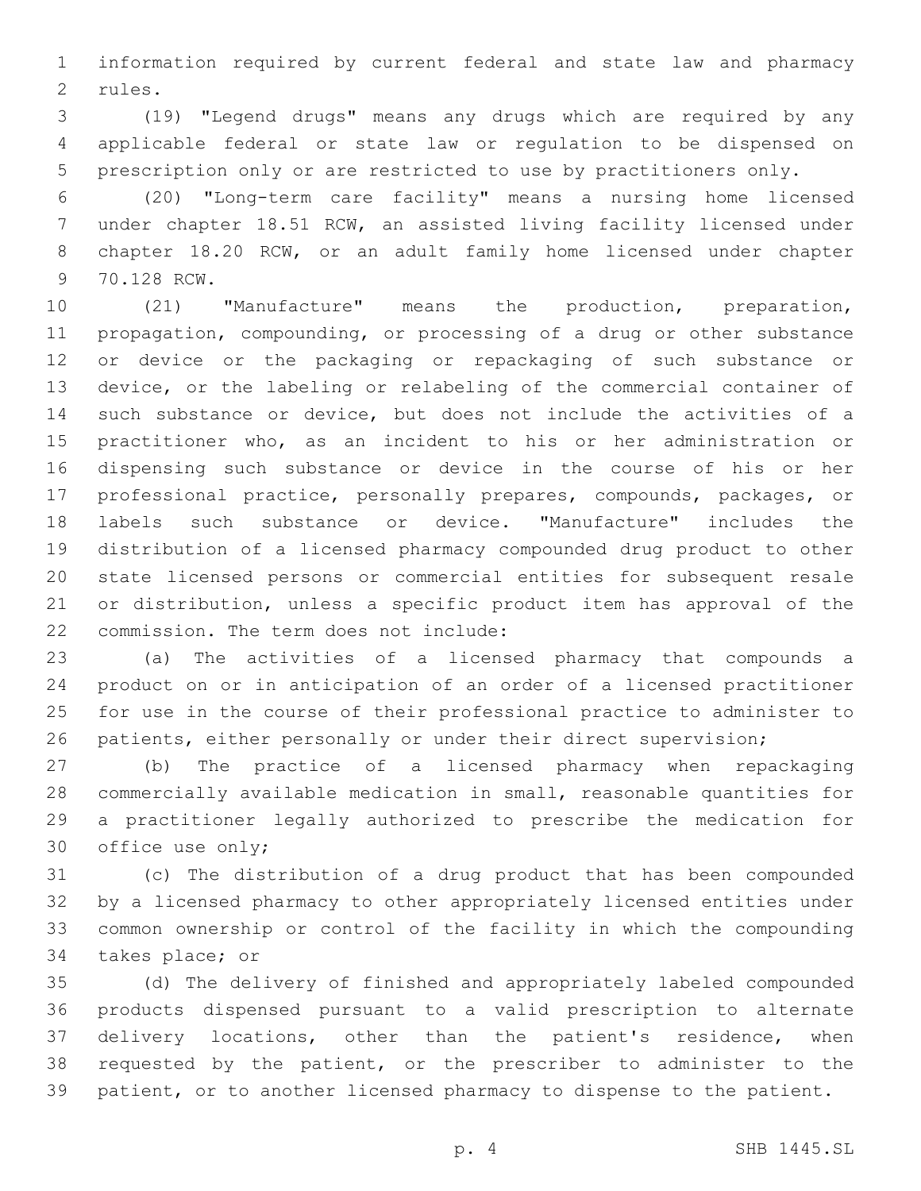information required by current federal and state law and pharmacy 2 rules.

 (19) "Legend drugs" means any drugs which are required by any applicable federal or state law or regulation to be dispensed on prescription only or are restricted to use by practitioners only.

 (20) "Long-term care facility" means a nursing home licensed under chapter 18.51 RCW, an assisted living facility licensed under chapter 18.20 RCW, or an adult family home licensed under chapter 9 70.128 RCW.

 (21) "Manufacture" means the production, preparation, propagation, compounding, or processing of a drug or other substance or device or the packaging or repackaging of such substance or device, or the labeling or relabeling of the commercial container of such substance or device, but does not include the activities of a practitioner who, as an incident to his or her administration or dispensing such substance or device in the course of his or her professional practice, personally prepares, compounds, packages, or labels such substance or device. "Manufacture" includes the distribution of a licensed pharmacy compounded drug product to other state licensed persons or commercial entities for subsequent resale or distribution, unless a specific product item has approval of the 22 commission. The term does not include:

 (a) The activities of a licensed pharmacy that compounds a product on or in anticipation of an order of a licensed practitioner for use in the course of their professional practice to administer to 26 patients, either personally or under their direct supervision;

 (b) The practice of a licensed pharmacy when repackaging commercially available medication in small, reasonable quantities for a practitioner legally authorized to prescribe the medication for 30 office use only;

 (c) The distribution of a drug product that has been compounded by a licensed pharmacy to other appropriately licensed entities under common ownership or control of the facility in which the compounding 34 takes place; or

 (d) The delivery of finished and appropriately labeled compounded products dispensed pursuant to a valid prescription to alternate delivery locations, other than the patient's residence, when requested by the patient, or the prescriber to administer to the patient, or to another licensed pharmacy to dispense to the patient.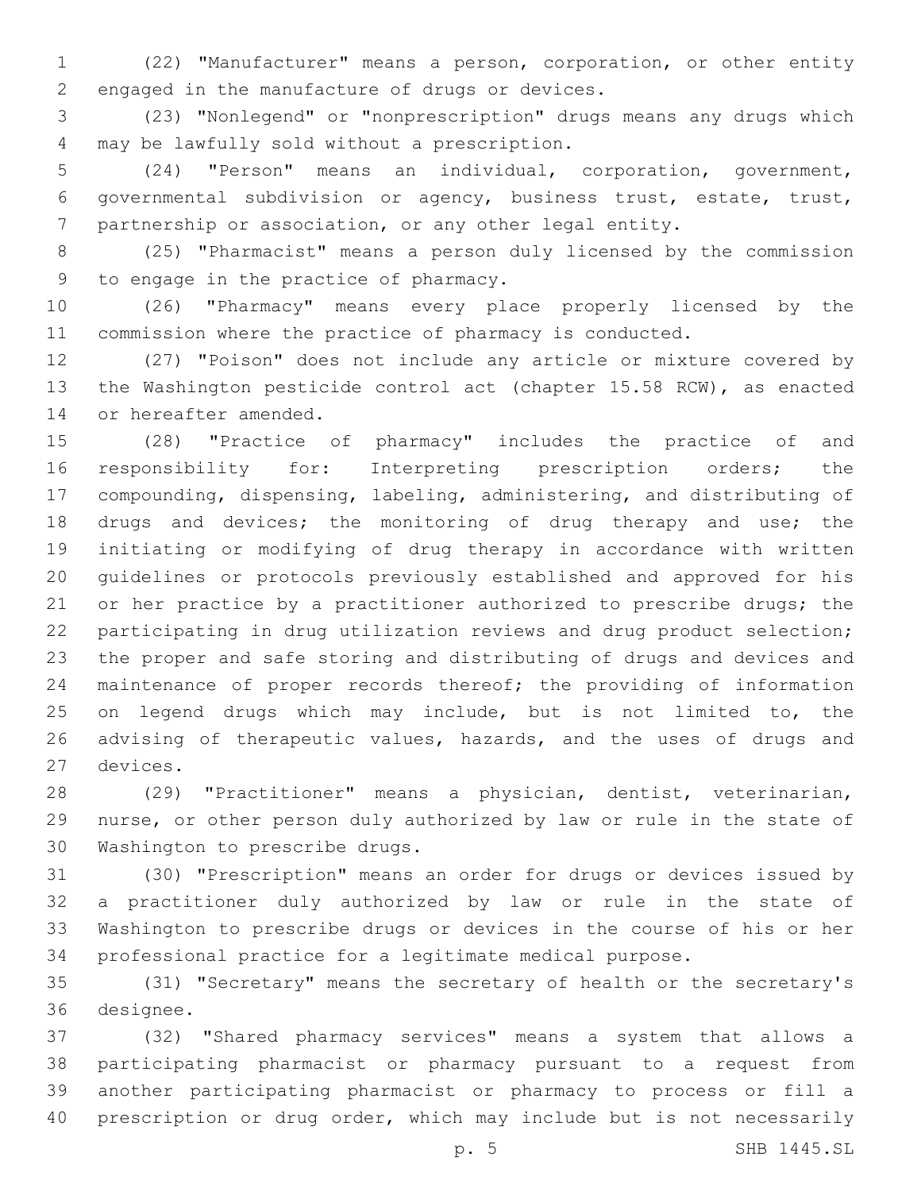(22) "Manufacturer" means a person, corporation, or other entity 2 engaged in the manufacture of drugs or devices.

 (23) "Nonlegend" or "nonprescription" drugs means any drugs which may be lawfully sold without a prescription.4

 (24) "Person" means an individual, corporation, government, governmental subdivision or agency, business trust, estate, trust, partnership or association, or any other legal entity.

 (25) "Pharmacist" means a person duly licensed by the commission 9 to engage in the practice of pharmacy.

 (26) "Pharmacy" means every place properly licensed by the commission where the practice of pharmacy is conducted.

 (27) "Poison" does not include any article or mixture covered by the Washington pesticide control act (chapter 15.58 RCW), as enacted 14 or hereafter amended.

 (28) "Practice of pharmacy" includes the practice of and 16 responsibility for: Interpreting prescription orders; the compounding, dispensing, labeling, administering, and distributing of 18 drugs and devices; the monitoring of drug therapy and use; the initiating or modifying of drug therapy in accordance with written guidelines or protocols previously established and approved for his or her practice by a practitioner authorized to prescribe drugs; the participating in drug utilization reviews and drug product selection; the proper and safe storing and distributing of drugs and devices and maintenance of proper records thereof; the providing of information on legend drugs which may include, but is not limited to, the 26 advising of therapeutic values, hazards, and the uses of drugs and 27 devices.

 (29) "Practitioner" means a physician, dentist, veterinarian, nurse, or other person duly authorized by law or rule in the state of 30 Washington to prescribe drugs.

 (30) "Prescription" means an order for drugs or devices issued by a practitioner duly authorized by law or rule in the state of Washington to prescribe drugs or devices in the course of his or her professional practice for a legitimate medical purpose.

 (31) "Secretary" means the secretary of health or the secretary's 36 designee.

 (32) "Shared pharmacy services" means a system that allows a participating pharmacist or pharmacy pursuant to a request from another participating pharmacist or pharmacy to process or fill a prescription or drug order, which may include but is not necessarily

p. 5 SHB 1445.SL